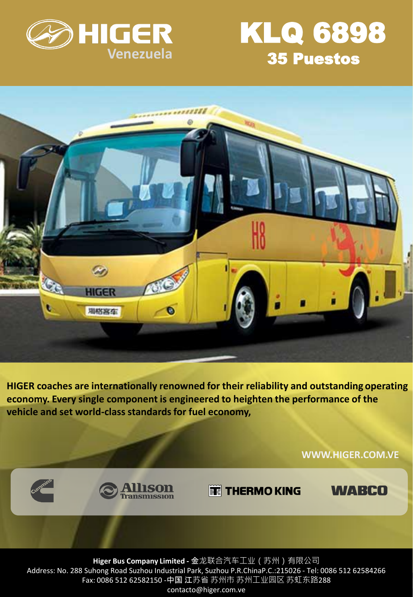



**WWW.HIGER.COM.VE**

**WABCO** 



**HIGER coaches are internationally renowned for their reliability and outstanding operating economy. Every single component is engineered to heighten the performance of the vehicle and set world-class standards for fuel economy,**

**TE THERMO KING** 

**Higer Bus Company Limited -** 金龙联合汽车工业(苏州)有限公司 Address: No. 288 Suhong Road Suzhou Industrial Park, Suzhou P.R.ChinaP.C.:215026 - Tel: 0086 512 62584266 Fax: 0086 512 62582150 -中国 江苏省 苏州市 苏州工业园区 苏虹东路288 contacto@higer.com.ve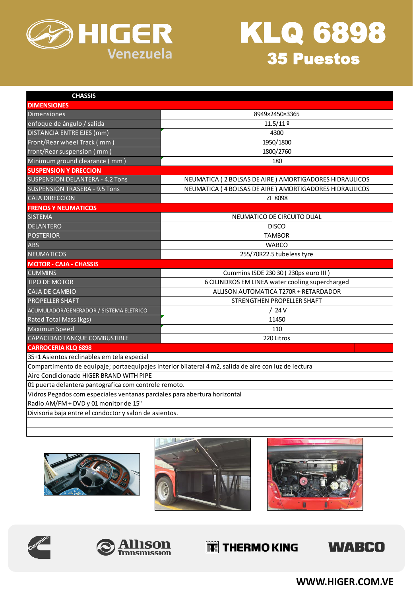



| <b>CHASSIS</b>                                                                                       |                                                        |
|------------------------------------------------------------------------------------------------------|--------------------------------------------------------|
| <b>DIMENSIONES</b>                                                                                   |                                                        |
| <b>Dimensiones</b>                                                                                   | 8949×2450×3365                                         |
| enfoque de ángulo / salida                                                                           | $11.5/11$ º                                            |
| <b>DISTANCIA ENTRE EJES (mm)</b>                                                                     | 4300                                                   |
| Front/Rear wheel Track (mm)                                                                          | 1950/1800                                              |
| front/Rear suspension (mm)                                                                           | 1800/2760                                              |
| Minimum ground clearance (mm)                                                                        | 180                                                    |
| <b>SUSPENSION Y DRECCION</b>                                                                         |                                                        |
| <b>SUSPENSION DELANTERA - 4.2 Tons</b>                                                               | NEUMATICA (2 BOLSAS DE AIRE) AMORTIGADORES HIDRAULICOS |
| <b>SUSPENSION TRASERA - 9.5 Tons</b>                                                                 | NEUMATICA (4 BOLSAS DE AIRE) AMORTIGADORES HIDRAULICOS |
| <b>CAJA DIRECCION</b>                                                                                | ZF 8098                                                |
| <b>FRENOS Y NEUMATICOS</b>                                                                           |                                                        |
| <b>SISTEMA</b>                                                                                       | NEUMATICO DE CIRCUITO DUAL                             |
| <b>DELANTERO</b>                                                                                     | <b>DISCO</b>                                           |
| <b>POSTERIOR</b>                                                                                     | <b>TAMBOR</b>                                          |
| ABS                                                                                                  | <b>WABCO</b>                                           |
| <b>NEUMATICOS</b>                                                                                    | 255/70R22.5 tubeless tyre                              |
| <b>MOTOR - CAJA - CHASSIS</b>                                                                        |                                                        |
| <b>CUMMINS</b>                                                                                       | Cummins ISDE 230 30 (230ps euro III)                   |
| <b>TIPO DE MOTOR</b>                                                                                 | 6 CILINDROS EM LINEA water cooling supercharged        |
| <b>CAJA DE CAMBIO</b>                                                                                | ALLISON AUTOMATICA T270R + RETARDADOR                  |
| <b>PROPELLER SHAFT</b>                                                                               | STRENGTHEN PROPELLER SHAFT                             |
| ACUMULADOR/GENERADOR / SISTEMA ELETRICO                                                              | /24V                                                   |
| Rated Total Mass (kgs)                                                                               | 11450                                                  |
| Maximun Speed                                                                                        | 110                                                    |
| CAPACIDAD TANQUE COMBUSTIBLE                                                                         | 220 Litros                                             |
| <b>CARROCERIA KLQ 6898</b>                                                                           |                                                        |
| 35+1 Asientos reclinables em tela especial                                                           |                                                        |
| Compartimento de equipaje; portaequipajes interior bilateral 4 m2, salida de aire con luz de lectura |                                                        |
| Aire Condicionado HIGER BRAND WITH PIPE                                                              |                                                        |
| 01 puerta delantera pantografica com controle remoto.                                                |                                                        |
| Vidros Pegados com especiales ventanas parciales para abertura horizontal                            |                                                        |
| Radio AM/FM + DVD y 01 monitor de 15"                                                                |                                                        |
| Divisoria baja entre el condoctor y salon de asientos.                                               |                                                        |
|                                                                                                      |                                                        |











## **THERMO KING**



**WWW.HIGER.COM.VE**